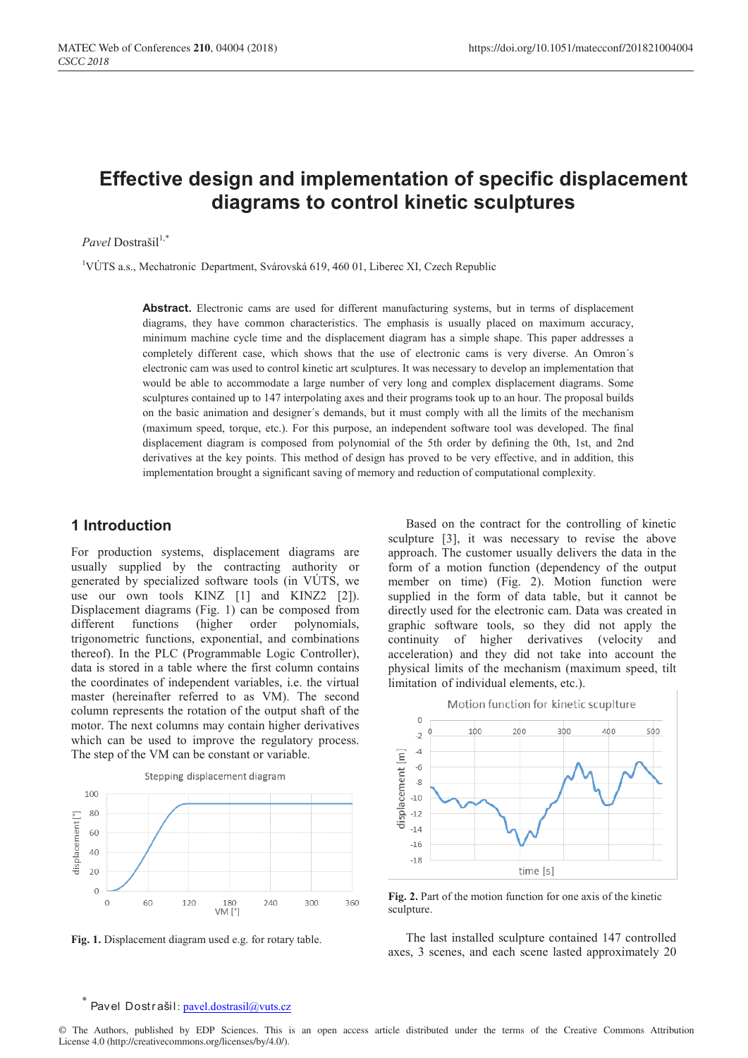# **Effective design and implementation of specific displacement diagrams to control kinetic sculptures**

Pavel Dostrašil<sup>1,\*</sup>

<sup>1</sup>VÚTS a.s., Mechatronic Department, Svárovská 619, 460 01, Liberec XI, Czech Republic

**Abstract.** Electronic cams are used for different manufacturing systems, but in terms of displacement diagrams, they have common characteristics. The emphasis is usually placed on maximum accuracy, minimum machine cycle time and the displacement diagram has a simple shape. This paper addresses a completely different case, which shows that the use of electronic cams is very diverse. An Omron´s electronic cam was used to control kinetic art sculptures. It was necessary to develop an implementation that would be able to accommodate a large number of very long and complex displacement diagrams. Some sculptures contained up to 147 interpolating axes and their programs took up to an hour. The proposal builds on the basic animation and designer´s demands, but it must comply with all the limits of the mechanism (maximum speed, torque, etc.). For this purpose, an independent software tool was developed. The final displacement diagram is composed from polynomial of the 5th order by defining the 0th, 1st, and 2nd derivatives at the key points. This method of design has proved to be very effective, and in addition, this implementation brought a significant saving of memory and reduction of computational complexity.

### **1 Introduction**

For production systems, displacement diagrams are usually supplied by the contracting authority or generated by specialized software tools (in VÚTS, we use our own tools KINZ [1] and KINZ2 [2]). Displacement diagrams (Fig. 1) can be composed from different functions (higher order polynomials, trigonometric functions, exponential, and combinations thereof). In the PLC (Programmable Logic Controller), data is stored in a table where the first column contains the coordinates of independent variables, i.e. the virtual master (hereinafter referred to as VM). The second column represents the rotation of the output shaft of the motor. The next columns may contain higher derivatives which can be used to improve the regulatory process. The step of the VM can be constant or variable.



**Fig. 1.** Displacement diagram used e.g. for rotary table.

Based on the contract for the controlling of kinetic sculpture [3], it was necessary to revise the above approach. The customer usually delivers the data in the form of a motion function (dependency of the output member on time) (Fig. 2). Motion function were supplied in the form of data table, but it cannot be directly used for the electronic cam. Data was created in graphic software tools, so they did not apply the continuity of higher derivatives (velocity and acceleration) and they did not take into account the physical limits of the mechanism (maximum speed, tilt limitation of individual elements, etc.).



**Fig. 2.** Part of the motion function for one axis of the kinetic sculpture.

The last installed sculpture contained 147 controlled axes, 3 scenes, and each scene lasted approximately 20

#### Pavel Dostrašil: pavel.dostrasil@vuts.cz

© The Authors, published by EDP Sciences. This is an open access article distributed under the terms of the Creative Commons Attribution License 4.0 (http://creativecommons.org/licenses/by/4.0/).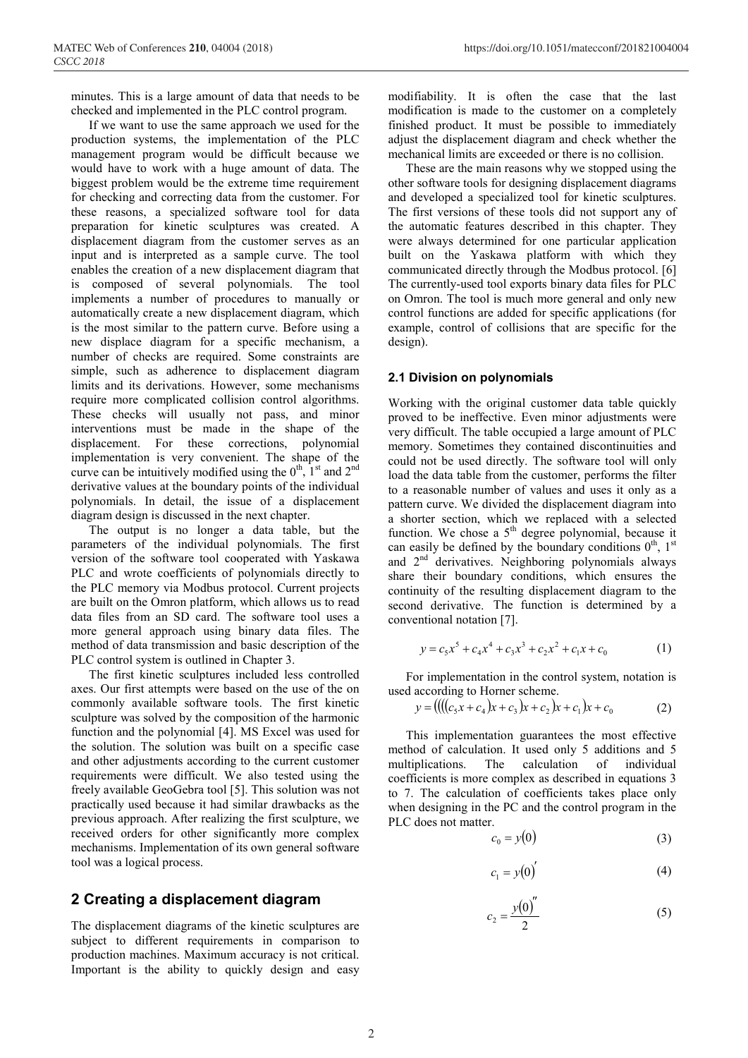minutes. This is a large amount of data that needs to be checked and implemented in the PLC control program.

If we want to use the same approach we used for the production systems, the implementation of the PLC management program would be difficult because we would have to work with a huge amount of data. The biggest problem would be the extreme time requirement for checking and correcting data from the customer. For these reasons, a specialized software tool for data preparation for kinetic sculptures was created. A displacement diagram from the customer serves as an input and is interpreted as a sample curve. The tool enables the creation of a new displacement diagram that is composed of several polynomials. The tool implements a number of procedures to manually or automatically create a new displacement diagram, which is the most similar to the pattern curve. Before using a new displace diagram for a specific mechanism, a number of checks are required. Some constraints are simple, such as adherence to displacement diagram limits and its derivations. However, some mechanisms require more complicated collision control algorithms. These checks will usually not pass, and minor interventions must be made in the shape of the displacement. For these corrections, polynomial implementation is very convenient. The shape of the curve can be intuitively modified using the  $0^{\text{th}}$ ,  $1^{\text{st}}$  and  $2^{\text{nd}}$ derivative values at the boundary points of the individual polynomials. In detail, the issue of a displacement diagram design is discussed in the next chapter.

The output is no longer a data table, but the parameters of the individual polynomials. The first version of the software tool cooperated with Yaskawa PLC and wrote coefficients of polynomials directly to the PLC memory via Modbus protocol. Current projects are built on the Omron platform, which allows us to read data files from an SD card. The software tool uses a more general approach using binary data files. The method of data transmission and basic description of the PLC control system is outlined in Chapter 3.

The first kinetic sculptures included less controlled axes. Our first attempts were based on the use of the on commonly available software tools. The first kinetic sculpture was solved by the composition of the harmonic function and the polynomial [4]. MS Excel was used for the solution. The solution was built on a specific case and other adjustments according to the current customer requirements were difficult. We also tested using the freely available GeoGebra tool [5]. This solution was not practically used because it had similar drawbacks as the previous approach. After realizing the first sculpture, we received orders for other significantly more complex mechanisms. Implementation of its own general software tool was a logical process.

## **2 Creating a displacement diagram**

The displacement diagrams of the kinetic sculptures are subject to different requirements in comparison to production machines. Maximum accuracy is not critical. Important is the ability to quickly design and easy modifiability. It is often the case that the last modification is made to the customer on a completely finished product. It must be possible to immediately adjust the displacement diagram and check whether the mechanical limits are exceeded or there is no collision.

These are the main reasons why we stopped using the other software tools for designing displacement diagrams and developed a specialized tool for kinetic sculptures. The first versions of these tools did not support any of the automatic features described in this chapter. They were always determined for one particular application built on the Yaskawa platform with which they communicated directly through the Modbus protocol. [6] The currently-used tool exports binary data files for PLC on Omron. The tool is much more general and only new control functions are added for specific applications (for example, control of collisions that are specific for the design).

#### **2.1 Division on polynomials**

Working with the original customer data table quickly proved to be ineffective. Even minor adjustments were very difficult. The table occupied a large amount of PLC memory. Sometimes they contained discontinuities and could not be used directly. The software tool will only load the data table from the customer, performs the filter to a reasonable number of values and uses it only as a pattern curve. We divided the displacement diagram into a shorter section, which we replaced with a selected function. We chose a  $5<sup>th</sup>$  degree polynomial, because it can easily be defined by the boundary conditions  $0<sup>th</sup>$ ,  $1<sup>st</sup>$ and 2<sup>nd</sup> derivatives. Neighboring polynomials always share their boundary conditions, which ensures the continuity of the resulting displacement diagram to the second derivative. The function is determined by a conventional notation [7].

$$
y = c_5 x^5 + c_4 x^4 + c_3 x^3 + c_2 x^2 + c_1 x + c_0 \tag{1}
$$

For implementation in the control system, notation is used according to Horner scheme.

$$
y = ((( (c_5x + c_4)x + c_3)x + c_2)x + c_1)x + c_0
$$
 (2)

This implementation guarantees the most effective method of calculation. It used only 5 additions and 5 multiplications. The calculation of individual coefficients is more complex as described in equations 3 to 7. The calculation of coefficients takes place only when designing in the PC and the control program in the PLC does not matter.

$$
c_0 = y(0) \tag{3}
$$

$$
c_1 = y(0)'
$$
 (4)

$$
c_2 = \frac{y(0)''}{2} \tag{5}
$$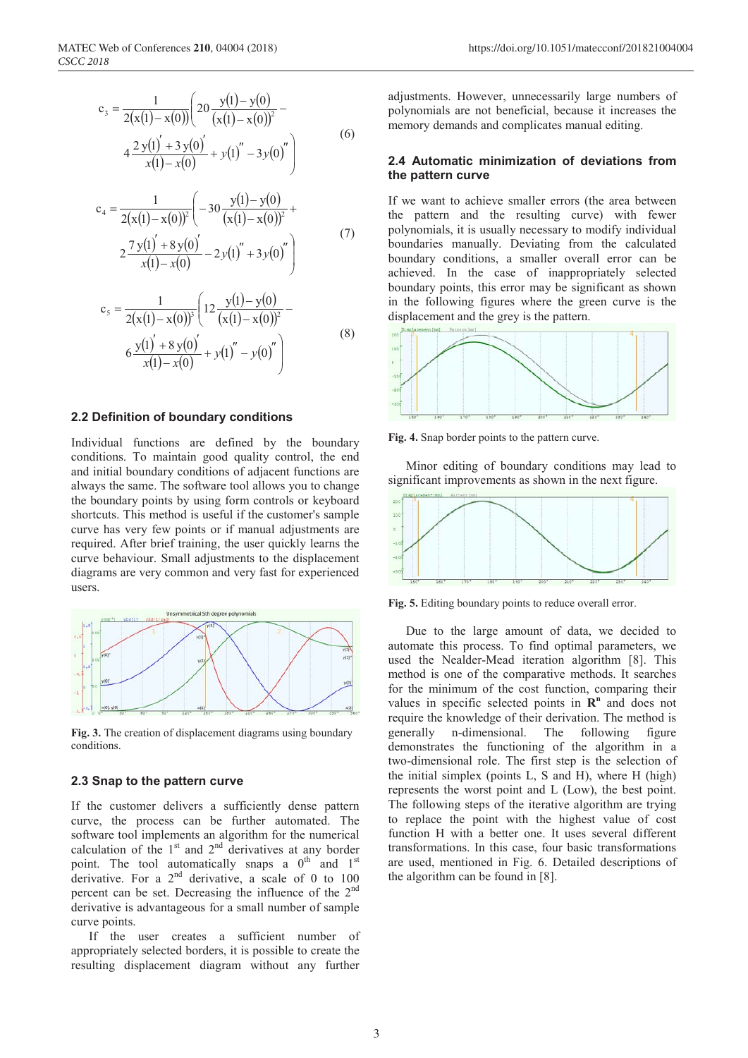$$
c_3 = \frac{1}{2(x(1) - x(0))} \left( 20 \frac{y(1) - y(0)}{(x(1) - x(0))^2} - 4 \frac{2 y(1') + 3 y(0')'}{x(1) - x(0)} + y(1)'' - 3 y(0)'' \right)
$$
(6)

$$
c_4 = \frac{1}{2(x(1) - x(0))^2} \left( -30 \frac{y(1) - y(0)}{(x(1) - x(0))^2} + 2 \frac{7 y(1)' + 8 y(0)'}{x(1) - x(0)} - 2 y(1)'' + 3 y(0)'' \right)
$$
(7)

$$
c_{5} = \frac{1}{2(x(1) - x(0))^{3}} \left( 12 \frac{y(1) - y(0)}{(x(1) - x(0))^{2}} - 12 \frac{y(1) + 8 y(0)}{(x(1) - x(0))^{2}} - 12 \frac{y(1) + 8 y(0)}{(x(1) - x(0))^{2}} - 12 \frac{y(1) - y(0)}{(x(1) - x(0))^{2}} \right)
$$
\n(8)

#### **2.2 Definition of boundary conditions**

Individual functions are defined by the boundary conditions. To maintain good quality control, the end and initial boundary conditions of adjacent functions are always the same. The software tool allows you to change the boundary points by using form controls or keyboard shortcuts. This method is useful if the customer's sample curve has very few points or if manual adjustments are required. After brief training, the user quickly learns the curve behaviour. Small adjustments to the displacement diagrams are very common and very fast for experienced users.



**Fig. 3.** The creation of displacement diagrams using boundary conditions.

#### **2.3 Snap to the pattern curve**

If the customer delivers a sufficiently dense pattern curve, the process can be further automated. The software tool implements an algorithm for the numerical calculation of the  $1<sup>st</sup>$  and  $2<sup>nd</sup>$  derivatives at any border point. The tool automatically snaps a  $0<sup>th</sup>$  and  $1<sup>st</sup>$ derivative. For a  $2<sup>nd</sup>$  derivative, a scale of 0 to 100 percent can be set. Decreasing the influence of the 2nd derivative is advantageous for a small number of sample curve points.

If the user creates a sufficient number of appropriately selected borders, it is possible to create the resulting displacement diagram without any further adjustments. However, unnecessarily large numbers of polynomials are not beneficial, because it increases the memory demands and complicates manual editing.

#### **2.4 Automatic minimization of deviations from the pattern curve**

If we want to achieve smaller errors (the area between the pattern and the resulting curve) with fewer polynomials, it is usually necessary to modify individual boundaries manually. Deviating from the calculated boundary conditions, a smaller overall error can be achieved. In the case of inappropriately selected boundary points, this error may be significant as shown in the following figures where the green curve is the displacement and the grey is the pattern.



**Fig. 4.** Snap border points to the pattern curve.

Minor editing of boundary conditions may lead to significant improvements as shown in the next figure.



**Fig. 5.** Editing boundary points to reduce overall error.

Due to the large amount of data, we decided to automate this process. To find optimal parameters, we used the Nealder-Mead iteration algorithm [8]. This method is one of the comparative methods. It searches for the minimum of the cost function, comparing their values in specific selected points in  $\mathbb{R}^n$  and does not require the knowledge of their derivation. The method is generally n-dimensional. The following figure demonstrates the functioning of the algorithm in a two-dimensional role. The first step is the selection of the initial simplex (points L, S and H), where H (high) represents the worst point and L (Low), the best point. The following steps of the iterative algorithm are trying to replace the point with the highest value of cost function H with a better one. It uses several different transformations. In this case, four basic transformations are used, mentioned in Fig. 6. Detailed descriptions of the algorithm can be found in [8].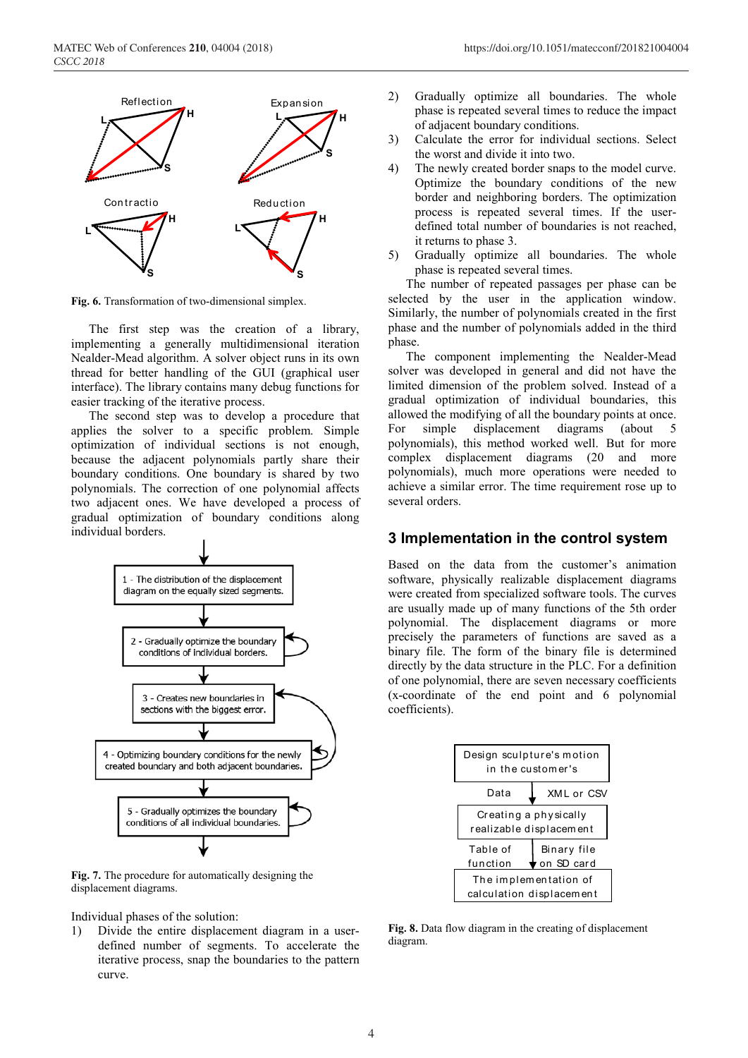

**Fig. 6.** Transformation of two-dimensional simplex.

The first step was the creation of a library, implementing a generally multidimensional iteration Nealder-Mead algorithm. A solver object runs in its own thread for better handling of the GUI (graphical user interface). The library contains many debug functions for easier tracking of the iterative process.

The second step was to develop a procedure that applies the solver to a specific problem. Simple optimization of individual sections is not enough, because the adjacent polynomials partly share their boundary conditions. One boundary is shared by two polynomials. The correction of one polynomial affects two adjacent ones. We have developed a process of gradual optimization of boundary conditions along individual borders.



**Fig. 7.** The procedure for automatically designing the displacement diagrams.

Individual phases of the solution:

1) Divide the entire displacement diagram in a userdefined number of segments. To accelerate the iterative process, snap the boundaries to the pattern curve.

- 2) Gradually optimize all boundaries. The whole phase is repeated several times to reduce the impact of adjacent boundary conditions.
- 3) Calculate the error for individual sections. Select the worst and divide it into two.
- 4) The newly created border snaps to the model curve. Optimize the boundary conditions of the new border and neighboring borders. The optimization process is repeated several times. If the userdefined total number of boundaries is not reached, it returns to phase 3.
- 5) Gradually optimize all boundaries. The whole phase is repeated several times.

The number of repeated passages per phase can be selected by the user in the application window. Similarly, the number of polynomials created in the first phase and the number of polynomials added in the third phase.

The component implementing the Nealder-Mead solver was developed in general and did not have the limited dimension of the problem solved. Instead of a gradual optimization of individual boundaries, this allowed the modifying of all the boundary points at once. For simple displacement diagrams (about 5 polynomials), this method worked well. But for more complex displacement diagrams (20 and more polynomials), much more operations were needed to achieve a similar error. The time requirement rose up to several orders.

#### **3 Implementation in the control system**

Based on the data from the customer's animation software, physically realizable displacement diagrams were created from specialized software tools. The curves are usually made up of many functions of the 5th order polynomial. The displacement diagrams or more precisely the parameters of functions are saved as a binary file. The form of the binary file is determined directly by the data structure in the PLC. For a definition of one polynomial, there are seven necessary coefficients (x-coordinate of the end point and 6 polynomial coefficients).



**Fig. 8.** Data flow diagram in the creating of displacement diagram.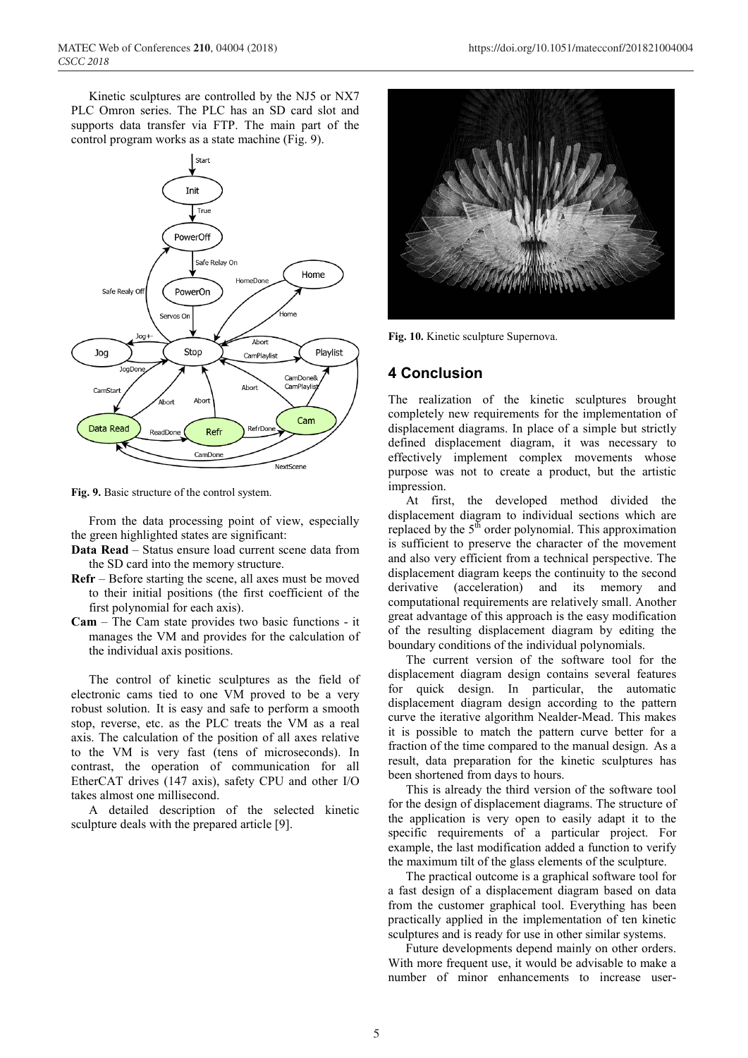Kinetic sculptures are controlled by the NJ5 or NX7 PLC Omron series. The PLC has an SD card slot and supports data transfer via FTP. The main part of the control program works as a state machine (Fig. 9).



**Fig. 9.** Basic structure of the control system.

From the data processing point of view, especially the green highlighted states are significant:

- **Data Read** Status ensure load current scene data from the SD card into the memory structure.
- **Refr**  Before starting the scene, all axes must be moved to their initial positions (the first coefficient of the first polynomial for each axis).
- **Cam**  The Cam state provides two basic functions it manages the VM and provides for the calculation of the individual axis positions.

The control of kinetic sculptures as the field of electronic cams tied to one VM proved to be a very robust solution. It is easy and safe to perform a smooth stop, reverse, etc. as the PLC treats the VM as a real axis. The calculation of the position of all axes relative to the VM is very fast (tens of microseconds). In contrast, the operation of communication for all EtherCAT drives (147 axis), safety CPU and other I/O takes almost one millisecond.

A detailed description of the selected kinetic sculpture deals with the prepared article [9].



**Fig. 10.** Kinetic sculpture Supernova.

## **4 Conclusion**

The realization of the kinetic sculptures brought completely new requirements for the implementation of displacement diagrams. In place of a simple but strictly defined displacement diagram, it was necessary to effectively implement complex movements whose purpose was not to create a product, but the artistic impression.

At first, the developed method divided the displacement diagram to individual sections which are replaced by the  $5<sup>th</sup>$  order polynomial. This approximation is sufficient to preserve the character of the movement and also very efficient from a technical perspective. The displacement diagram keeps the continuity to the second derivative (acceleration) and its memory and computational requirements are relatively small. Another great advantage of this approach is the easy modification of the resulting displacement diagram by editing the boundary conditions of the individual polynomials.

The current version of the software tool for the displacement diagram design contains several features for quick design. In particular, the automatic displacement diagram design according to the pattern curve the iterative algorithm Nealder-Mead. This makes it is possible to match the pattern curve better for a fraction of the time compared to the manual design. As a result, data preparation for the kinetic sculptures has been shortened from days to hours.

This is already the third version of the software tool for the design of displacement diagrams. The structure of the application is very open to easily adapt it to the specific requirements of a particular project. For example, the last modification added a function to verify the maximum tilt of the glass elements of the sculpture.

The practical outcome is a graphical software tool for a fast design of a displacement diagram based on data from the customer graphical tool. Everything has been practically applied in the implementation of ten kinetic sculptures and is ready for use in other similar systems.

Future developments depend mainly on other orders. With more frequent use, it would be advisable to make a number of minor enhancements to increase user-